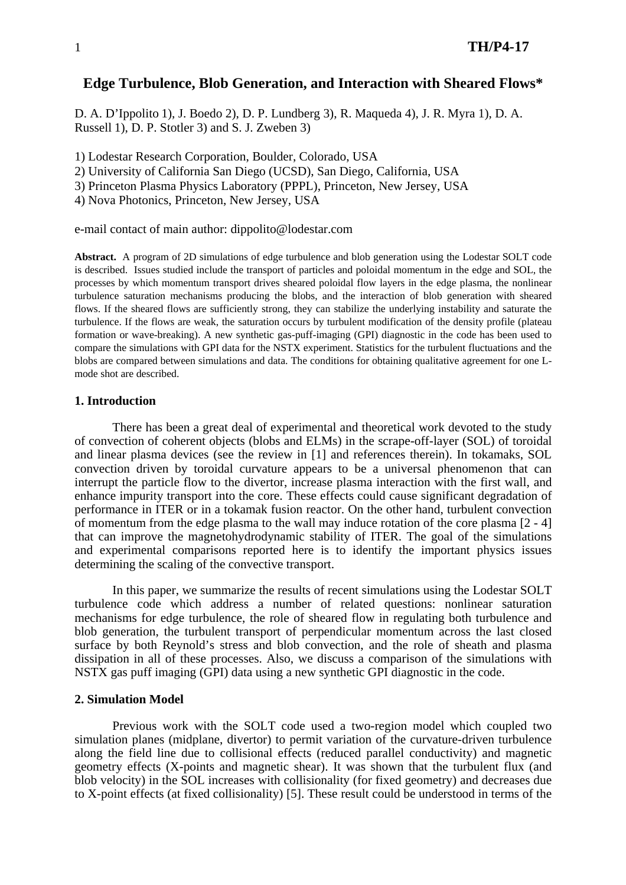# **Edge Turbulence, Blob Generation, and Interaction with Sheared Flows\***

D. A. D'Ippolito 1), J. Boedo 2), D. P. Lundberg 3), R. Maqueda 4), J. R. Myra 1), D. A. Russell 1), D. P. Stotler 3) and S. J. Zweben 3)

1) Lodestar Research Corporation, Boulder, Colorado, USA

2) University of California San Diego (UCSD), San Diego, California, USA

3) Princeton Plasma Physics Laboratory (PPPL), Princeton, New Jersey, USA

4) Nova Photonics, Princeton, New Jersey, USA

e-mail contact of main author: dippolito@lodestar.com

**Abstract.** A program of 2D simulations of edge turbulence and blob generation using the Lodestar SOLT code is described. Issues studied include the transport of particles and poloidal momentum in the edge and SOL, the processes by which momentum transport drives sheared poloidal flow layers in the edge plasma, the nonlinear turbulence saturation mechanisms producing the blobs, and the interaction of blob generation with sheared flows. If the sheared flows are sufficiently strong, they can stabilize the underlying instability and saturate the turbulence. If the flows are weak, the saturation occurs by turbulent modification of the density profile (plateau formation or wave-breaking). A new synthetic gas-puff-imaging (GPI) diagnostic in the code has been used to compare the simulations with GPI data for the NSTX experiment. Statistics for the turbulent fluctuations and the blobs are compared between simulations and data. The conditions for obtaining qualitative agreement for one Lmode shot are described.

# **1. Introduction**

 There has been a great deal of experimental and theoretical work devoted to the study of convection of coherent objects (blobs and ELMs) in the scrape-off-layer (SOL) of toroidal and linear plasma devices (see the review in [1] and references therein). In tokamaks, SOL convection driven by toroidal curvature appears to be a universal phenomenon that can interrupt the particle flow to the divertor, increase plasma interaction with the first wall, and enhance impurity transport into the core. These effects could cause significant degradation of performance in ITER or in a tokamak fusion reactor. On the other hand, turbulent convection of momentum from the edge plasma to the wall may induce rotation of the core plasma [2 - 4] that can improve the magnetohydrodynamic stability of ITER. The goal of the simulations and experimental comparisons reported here is to identify the important physics issues determining the scaling of the convective transport.

 In this paper, we summarize the results of recent simulations using the Lodestar SOLT turbulence code which address a number of related questions: nonlinear saturation mechanisms for edge turbulence, the role of sheared flow in regulating both turbulence and blob generation, the turbulent transport of perpendicular momentum across the last closed surface by both Reynold's stress and blob convection, and the role of sheath and plasma dissipation in all of these processes. Also, we discuss a comparison of the simulations with NSTX gas puff imaging (GPI) data using a new synthetic GPI diagnostic in the code.

# **2. Simulation Model**

 Previous work with the SOLT code used a two-region model which coupled two simulation planes (midplane, divertor) to permit variation of the curvature-driven turbulence along the field line due to collisional effects (reduced parallel conductivity) and magnetic geometry effects (X-points and magnetic shear). It was shown that the turbulent flux (and blob velocity) in the SOL increases with collisionality (for fixed geometry) and decreases due to X-point effects (at fixed collisionality) [5]. These result could be understood in terms of the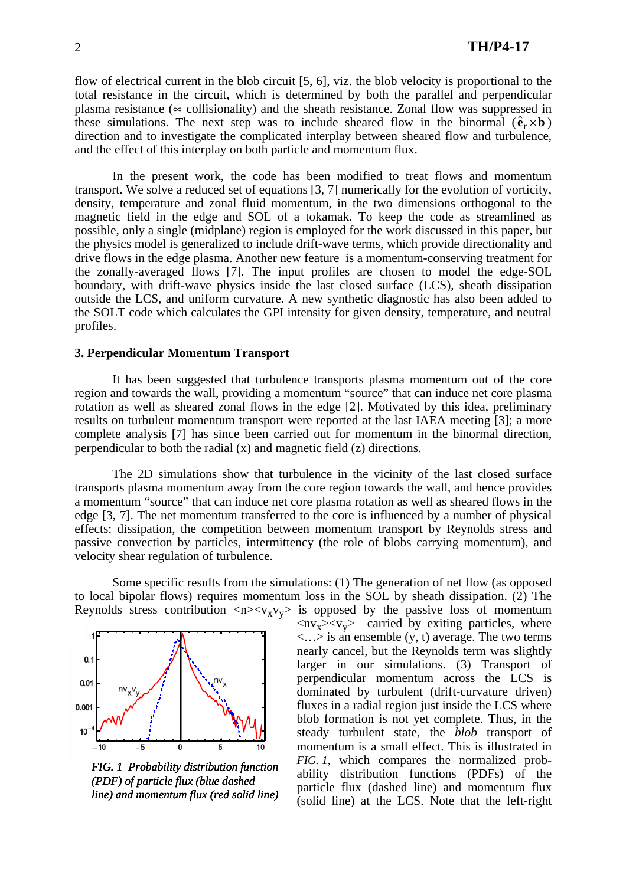flow of electrical current in the blob circuit [5, 6], viz. the blob velocity is proportional to the total resistance in the circuit, which is determined by both the parallel and perpendicular plasma resistance ( $\approx$  collisionality) and the sheath resistance. Zonal flow was suppressed in these simulations. The next step was to include sheared flow in the binormal  $(\hat{\mathbf{e}} \times \mathbf{b})$ direction and to investigate the complicated interplay between sheared flow and turbulence, and the effect of this interplay on both particle and momentum flux.

 In the present work, the code has been modified to treat flows and momentum transport. We solve a reduced set of equations [3, 7] numerically for the evolution of vorticity, density, temperature and zonal fluid momentum, in the two dimensions orthogonal to the magnetic field in the edge and SOL of a tokamak. To keep the code as streamlined as possible, only a single (midplane) region is employed for the work discussed in this paper, but the physics model is generalized to include drift-wave terms, which provide directionality and drive flows in the edge plasma. Another new featureis a momentum-conserving treatment for the zonally-averaged flows [7]. The input profiles are chosen to model the edge-SOL boundary, with drift-wave physics inside the last closed surface (LCS), sheath dissipation outside the LCS, and uniform curvature. A new synthetic diagnostic has also been added to the SOLT code which calculates the GPI intensity for given density, temperature, and neutral profiles.

# **3. Perpendicular Momentum Transport**

 It has been suggested that turbulence transports plasma momentum out of the core region and towards the wall, providing a momentum "source" that can induce net core plasma rotation as well as sheared zonal flows in the edge [2]. Motivated by this idea, preliminary results on turbulent momentum transport were reported at the last IAEA meeting [3]; a more complete analysis [7] has since been carried out for momentum in the binormal direction, perpendicular to both the radial (x) and magnetic field (z) directions.

 The 2D simulations show that turbulence in the vicinity of the last closed surface transports plasma momentum away from the core region towards the wall, and hence provides a momentum "source" that can induce net core plasma rotation as well as sheared flows in the edge [3, 7]. The net momentum transferred to the core is influenced by a number of physical effects: dissipation, the competition between momentum transport by Reynolds stress and passive convection by particles, intermittency (the role of blobs carrying momentum), and velocity shear regulation of turbulence.

 Some specific results from the simulations: (1) The generation of net flow (as opposed to local bipolar flows) requires momentum loss in the SOL by sheath dissipation. (2) The Reynolds stress contribution  $\langle n \rangle \langle v_x v_y \rangle$  is opposed by the passive loss of momentum



*FIG. 1 Probability distribution function (PDF) of particle flux (blue dashed line) and momentum flux (red solid line)*

 $\langle$ nv<sub>y</sub> $\rangle$   $\langle$ v<sub>y</sub> $\rangle$  carried by exiting particles, where  $\langle \ldots \rangle$  is an ensemble  $(y, t)$  average. The two terms nearly cancel, but the Reynolds term was slightly larger in our simulations. (3) Transport of perpendicular momentum across the LCS is dominated by turbulent (drift-curvature driven) fluxes in a radial region just inside the LCS where blob formation is not yet complete. Thus, in the steady turbulent state, the *blob* transport of momentum is a small effect. This is illustrated in *FIG. 1*, which compares the normalized probability distribution functions (PDFs) of the particle flux (dashed line) and momentum flux (solid line) at the LCS. Note that the left-right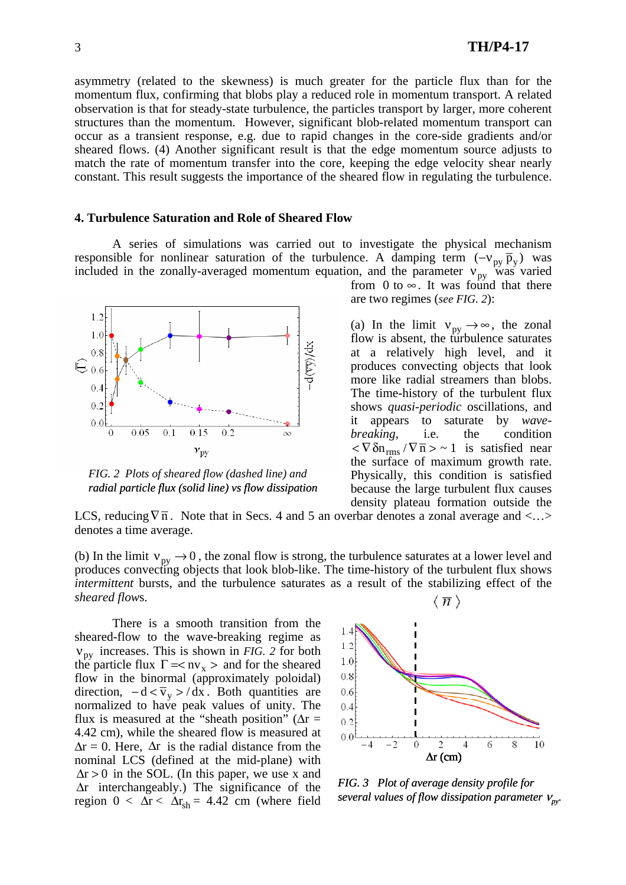asymmetry (related to the skewness) is much greater for the particle flux than for the momentum flux, confirming that blobs play a reduced role in momentum transport. A related observation is that for steady-state turbulence, the particles transport by larger, more coherent structures than the momentum. However, significant blob-related momentum transport can occur as a transient response, e.g. due to rapid changes in the core-side gradients and/or sheared flows. (4) Another significant result is that the edge momentum source adjusts to match the rate of momentum transfer into the core, keeping the edge velocity shear nearly constant. This result suggests the importance of the sheared flow in regulating the turbulence.

### **4. Turbulence Saturation and Role of Sheared Flow**

A series of simulations was carried out to investigate the physical mechanism responsible for nonlinear saturation of the turbulence. A damping term  $(-v_{py} \bar{p}_y)$  was included in the zonally-averaged momentum equation, and the parameter  $v_{py}$  was varied



*FIG. 2 Plots of sheared flow (dashed line) and radial particle flux (solid line) vs flow dissipation*

from 0 to  $\infty$ . It was found that there are two regimes (*see FIG. 2*):

(a) In the limit  $v_{py} \rightarrow \infty$ , the zonal flow is absent, the turbulence saturates at a relatively high level, and it produces convecting objects that look more like radial streamers than blobs. The time-history of the turbulent flux shows *quasi-periodic* oscillations, and it appears to saturate by *wavebreaking*, i.e. the condition  $\langle \nabla \delta n_{\rm rms} / \nabla \overline{n} \rangle \sim 1$  is satisfied near the surface of maximum growth rate. Physically, this condition is satisfied because the large turbulent flux causes density plateau formation outside the

LCS, reducing  $\nabla \overline{n}$ . Note that in Secs. 4 and 5 an overbar denotes a zonal average and <...> denotes a time average.

(b) In the limit  $v_{pv} \rightarrow 0$ , the zonal flow is strong, the turbulence saturates at a lower level and produces convecting objects that look blob-like. The time-history of the turbulent flux shows *intermittent* bursts, and the turbulence saturates as a result of the stabilizing effect of the *sheared flow*s.  $\langle \overline{n} \rangle$ 

 There is a smooth transition from the sheared-flow to the wave-breaking regime as  $v_{\text{pv}}$  increases. This is shown in *FIG*. 2 for both the particle flux  $\Gamma =$  and for the sheared flow in the binormal (approximately poloidal) direction,  $-d < \overline{v}_v > / dx$ . Both quantities are normalized to have peak values of unity. The flux is measured at the "sheath position" ( $\Delta r =$ 4.42 cm), while the sheared flow is measured at  $\Delta r = 0$ . Here,  $\Delta r$  is the radial distance from the nominal LCS (defined at the mid-plane) with  $\Delta r > 0$  in the SOL. (In this paper, we use x and ∆r interchangeably.) The significance of the region  $0 < \Delta r < \Delta r_{sh} = 4.42$  cm (where field



*FIG. 3 Plot of average density profile for several values of flow dissipation parameter* <sup>ν</sup>*py.*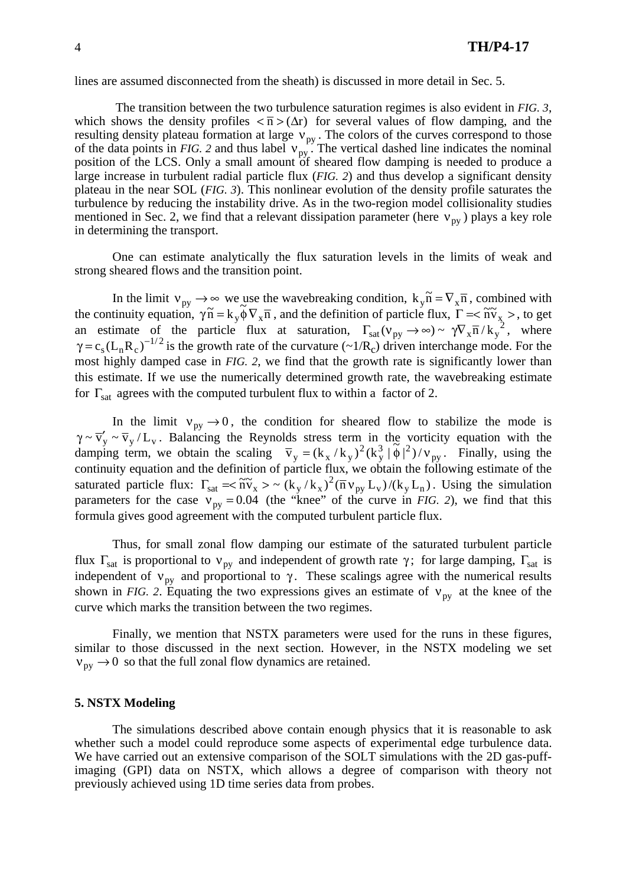### lines are assumed disconnected from the sheath) is discussed in more detail in Sec. 5.

 The transition between the two turbulence saturation regimes is also evident in *FIG. 3*, which shows the density profiles  $\langle \overline{n} \rangle (\Delta r)$  for several values of flow damping, and the resulting density plateau formation at large  $v_{py}$ . The colors of the curves correspond to those of the data points in *FIG.* 2 and thus label  $v_{py}$ . The vertical dashed line indicates the nominal position of the LCS. Only a small amount of sheared flow damping is needed to produce a large increase in turbulent radial particle flux (*FIG. 2*) and thus develop a significant density plateau in the near SOL (*FIG. 3*). This nonlinear evolution of the density profile saturates the turbulence by reducing the instability drive. As in the two-region model collisionality studies mentioned in Sec. 2, we find that a relevant dissipation parameter (here  $v_{\text{pv}}$ ) plays a key role in determining the transport.

 One can estimate analytically the flux saturation levels in the limits of weak and strong sheared flows and the transition point.

In the limit  $v_{py} \rightarrow \infty$  we use the wavebreaking condition,  $k_y \tilde{n} = \nabla_x \overline{n}$ , combined with the continuity equation,  $\gamma \tilde{n} = k_y \tilde{\phi} \nabla_x \bar{n}$ , and the definition of particle flux,  $\Gamma = \tilde{n} \tilde{v}_x >$ , to get an estimate of the particle flux at saturation,  $\Gamma_{\text{sat}}(v_{py} \to \infty) \sim \gamma \nabla_{\text{x}} \overline{n}/k_y^2$ , where  $\gamma = c_s (L_n R_c)^{-1/2}$  is the growth rate of the curvature (~1/R<sub>c</sub>) driven interchange mode. For the most highly damped case in *FIG. 2*, we find that the growth rate is significantly lower than this estimate. If we use the numerically determined growth rate, the wavebreaking estimate for  $\Gamma_{\text{sat}}$  agrees with the computed turbulent flux to within a factor of 2.

In the limit  $v_{\text{pv}} \rightarrow 0$ , the condition for sheared flow to stabilize the mode is  $\gamma \sim \overline{v}_{y} / L_{v}$ . Balancing the Reynolds stress term in the vorticity equation with the damping term, we obtain the scaling  $\overline{v}_y = (k_x / k_y)^2 (k_y^3 | \tilde{\phi}|^2) / v_{py}$ y  $\overline{v}_y = (k_x / k_y)^2 (k_y^3 | \tilde{\phi} |^2) / v_{py}$ . Finally, using the continuity equation and the definition of particle flux, we obtain the following estimate of the saturated particle flux:  $\Gamma_{\text{sat}} = \widetilde{n} \widetilde{v}_x > - (k_y / k_x)^2 (\overline{n} v_{py} L_y) / (k_y L_n)$ . Using the simulation parameters for the case  $v_{py} = 0.04$  (the "knee" of the curve in *FIG. 2*), we find that this formula gives good agreement with the computed turbulent particle flux.

 Thus, for small zonal flow damping our estimate of the saturated turbulent particle flux Γ<sub>sat</sub> is proportional to  $v_{py}$  and independent of growth rate γ; for large damping, Γ<sub>sat</sub> is independent of  $v_{pv}$  and proportional to  $\gamma$ . These scalings agree with the numerical results shown in *FIG.* 2. Equating the two expressions gives an estimate of  $v_{\text{pv}}$  at the knee of the curve which marks the transition between the two regimes.

 Finally, we mention that NSTX parameters were used for the runs in these figures, similar to those discussed in the next section. However, in the NSTX modeling we set  $v_{\text{pv}} \rightarrow 0$  so that the full zonal flow dynamics are retained.

### **5. NSTX Modeling**

 The simulations described above contain enough physics that it is reasonable to ask whether such a model could reproduce some aspects of experimental edge turbulence data. We have carried out an extensive comparison of the SOLT simulations with the 2D gas-puffimaging (GPI) data on NSTX, which allows a degree of comparison with theory not previously achieved using 1D time series data from probes.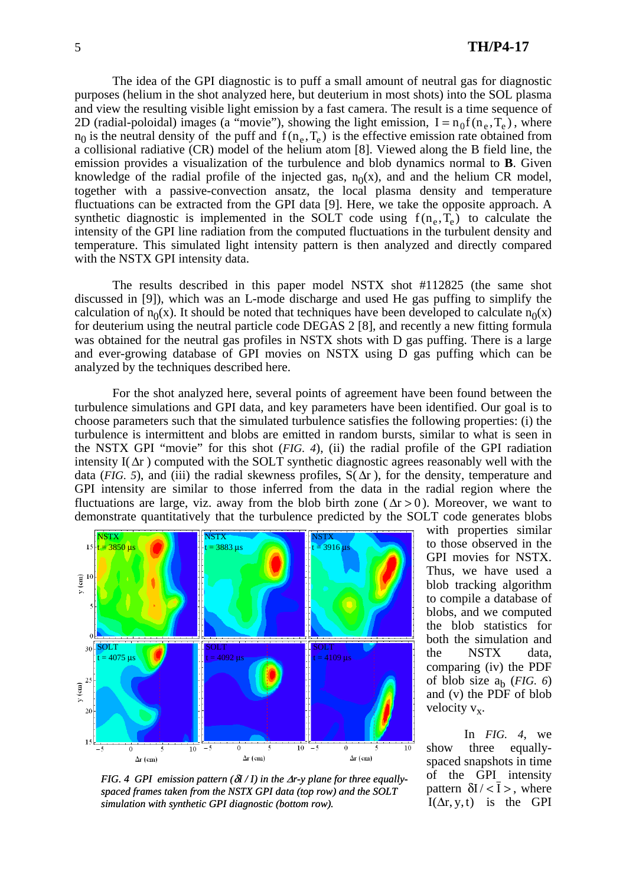The idea of the GPI diagnostic is to puff a small amount of neutral gas for diagnostic purposes (helium in the shot analyzed here, but deuterium in most shots) into the SOL plasma and view the resulting visible light emission by a fast camera. The result is a time sequence of 2D (radial-poloidal) images (a "movie"), showing the light emission,  $I = n_0 f(n_e, T_e)$ , where  $n_0$  is the neutral density of the puff and  $f(n_e, T_e)$  is the effective emission rate obtained from a collisional radiative (CR) model of the helium atom [8]. Viewed along the B field line, the emission provides a visualization of the turbulence and blob dynamics normal to **B**. Given knowledge of the radial profile of the injected gas,  $n_0(x)$ , and and the helium CR model, together with a passive-convection ansatz, the local plasma density and temperature fluctuations can be extracted from the GPI data [9]. Here, we take the opposite approach. A synthetic diagnostic is implemented in the SOLT code using  $f(n_e, T_e)$  to calculate the intensity of the GPI line radiation from the computed fluctuations in the turbulent density and temperature. This simulated light intensity pattern is then analyzed and directly compared with the NSTX GPI intensity data.

 The results described in this paper model NSTX shot #112825 (the same shot discussed in [9]), which was an L-mode discharge and used He gas puffing to simplify the calculation of  $n_0(x)$ . It should be noted that techniques have been developed to calculate  $n_0(x)$ for deuterium using the neutral particle code DEGAS 2 [8], and recently a new fitting formula was obtained for the neutral gas profiles in NSTX shots with D gas puffing. There is a large and ever-growing database of GPI movies on NSTX using D gas puffing which can be analyzed by the techniques described here.

 For the shot analyzed here, several points of agreement have been found between the turbulence simulations and GPI data, and key parameters have been identified. Our goal is to choose parameters such that the simulated turbulence satisfies the following properties: (i) the turbulence is intermittent and blobs are emitted in random bursts, similar to what is seen in the NSTX GPI "movie" for this shot (*FIG. 4*), (ii) the radial profile of the GPI radiation intensity I( $\Delta$ r) computed with the SOLT synthetic diagnostic agrees reasonably well with the data (*FIG. 5*), and (iii) the radial skewness profiles,  $S(\Delta r)$ , for the density, temperature and GPI intensity are similar to those inferred from the data in the radial region where the fluctuations are large, viz. away from the blob birth zone ( $\Delta r > 0$ ). Moreover, we want to demonstrate quantitatively that the turbulence predicted by the SOLT code generates blobs



*FIG.* 4 GPI emission pattern ( $\delta$ *I* / *I*) in the  $\Delta$ *r*-y plane for three equally*spaced frames taken from the NSTX GPI data (top row) and the SOLT simulation with synthetic GPI diagnostic (bottom row).* 

with properties similar to those observed in the GPI movies for NSTX. Thus, we have used a blob tracking algorithm to compile a database of blobs, and we computed the blob statistics for both the simulation and the NSTX data, comparing (iv) the PDF of blob size  $a_h$  (*FIG. 6*) and (v) the PDF of blob velocity  $v_x$ .

 In *FIG. 4*, we show three equallyspaced snapshots in time of the GPI intensity pattern  $\delta I / < I >$ , where  $I(\Delta r, y, t)$  is the GPI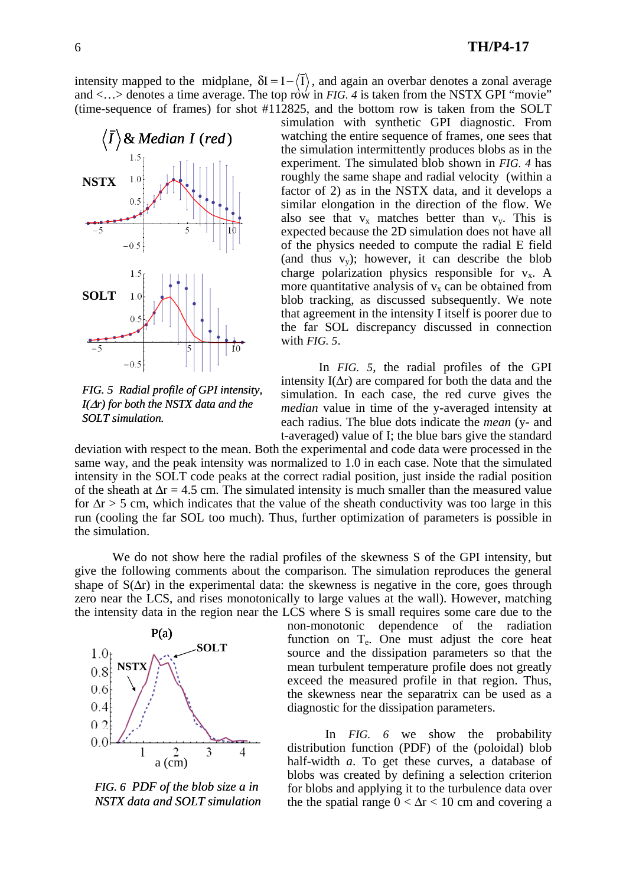intensity mapped to the midplane,  $\delta I = I - \langle \overline{I} \rangle$ , and again an overbar denotes a zonal average and  $\langle \ldots \rangle$  denotes a time average. The top row in *FIG.* 4 is taken from the NSTX GPI "movie" (time-sequence of frames) for shot #112825, and the bottom row is taken from the SOLT



*FIG. 5 Radial profile of GPI intensity, I(*∆*r) for both the NSTX data and the SOLT simulation.*

simulation with synthetic GPI diagnostic. From watching the entire sequence of frames, one sees that the simulation intermittently produces blobs as in the experiment. The simulated blob shown in *FIG. 4* has roughly the same shape and radial velocity (within a factor of 2) as in the NSTX data, and it develops a similar elongation in the direction of the flow. We also see that  $v_x$  matches better than  $v_y$ . This is expected because the 2D simulation does not have all of the physics needed to compute the radial E field (and thus  $v_y$ ); however, it can describe the blob charge polarization physics responsible for  $v_x$ . A more quantitative analysis of  $v_x$  can be obtained from blob tracking, as discussed subsequently. We note that agreement in the intensity I itself is poorer due to the far SOL discrepancy discussed in connection with *FIG. 5*.

 In *FIG. 5*, the radial profiles of the GPI intensity  $I(\Delta r)$  are compared for both the data and the simulation. In each case, the red curve gives the *median* value in time of the y-averaged intensity at each radius. The blue dots indicate the *mean* (y- and t-averaged) value of I; the blue bars give the standard

deviation with respect to the mean. Both the experimental and code data were processed in the same way, and the peak intensity was normalized to 1.0 in each case. Note that the simulated intensity in the SOLT code peaks at the correct radial position, just inside the radial position of the sheath at  $\Delta r = 4.5$  cm. The simulated intensity is much smaller than the measured value for  $\Delta r > 5$  cm, which indicates that the value of the sheath conductivity was too large in this run (cooling the far SOL too much). Thus, further optimization of parameters is possible in the simulation.

 We do not show here the radial profiles of the skewness S of the GPI intensity, but give the following comments about the comparison. The simulation reproduces the general shape of  $S(\Delta r)$  in the experimental data: the skewness is negative in the core, goes through zero near the LCS, and rises monotonically to large values at the wall). However, matching the intensity data in the region near the LCS where S is small requires some care due to the



*FIG. 6 PDF of the blob size a in NSTX data and SOLT simulation*

non-monotonic dependence of the radiation function on  $T_e$ . One must adjust the core heat source and the dissipation parameters so that the mean turbulent temperature profile does not greatly exceed the measured profile in that region. Thus, the skewness near the separatrix can be used as a diagnostic for the dissipation parameters.

 In *FIG. 6* we show the probability distribution function (PDF) of the (poloidal) blob half-width *a*. To get these curves, a database of blobs was created by defining a selection criterion for blobs and applying it to the turbulence data over the the spatial range  $0 < \Delta r < 10$  cm and covering a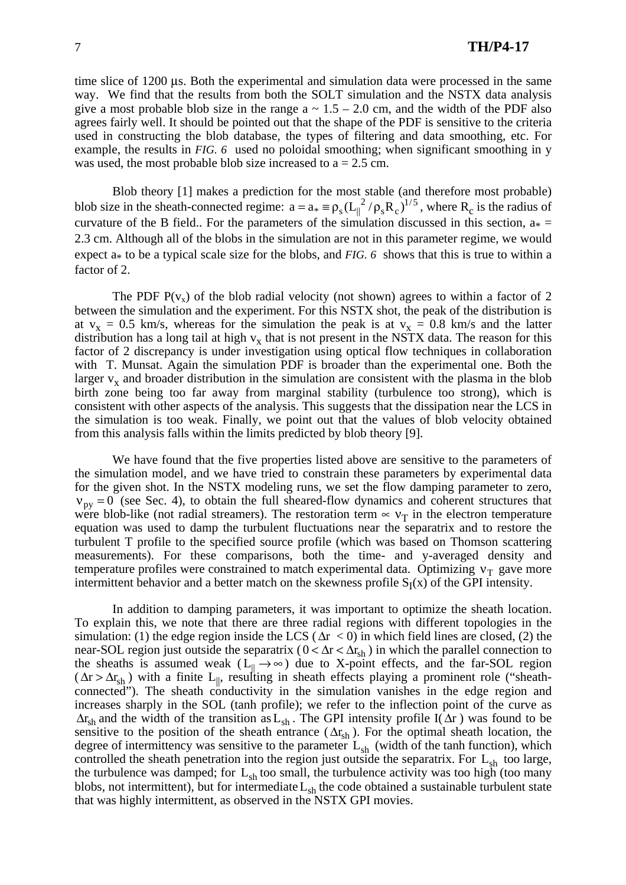time slice of 1200 µs. Both the experimental and simulation data were processed in the same way. We find that the results from both the SOLT simulation and the NSTX data analysis give a most probable blob size in the range  $a \sim 1.5 - 2.0$  cm, and the width of the PDF also agrees fairly well. It should be pointed out that the shape of the PDF is sensitive to the criteria used in constructing the blob database, the types of filtering and data smoothing, etc. For example, the results in *FIG. 6* used no poloidal smoothing; when significant smoothing in y was used, the most probable blob size increased to  $a = 2.5$  cm.

 Blob theory [1] makes a prediction for the most stable (and therefore most probable) blob size in the sheath-connected regime:  $a = a_* \equiv \rho_s (L_{\parallel}^2 / \rho_s R_c)^{1/5}$ , where  $R_c$  is the radius of curvature of the B field.. For the parameters of the simulation discussed in this section,  $a_* =$ 2.3 cm. Although all of the blobs in the simulation are not in this parameter regime, we would expect a<sub>\*</sub> to be a typical scale size for the blobs, and *FIG. 6* shows that this is true to within a factor of 2.

The PDF  $P(v_x)$  of the blob radial velocity (not shown) agrees to within a factor of 2 between the simulation and the experiment. For this NSTX shot, the peak of the distribution is at  $v_x = 0.5$  km/s, whereas for the simulation the peak is at  $v_x = 0.8$  km/s and the latter distribution has a long tail at high  $v_x$  that is not present in the NSTX data. The reason for this factor of 2 discrepancy is under investigation using optical flow techniques in collaboration with T. Munsat. Again the simulation PDF is broader than the experimental one. Both the larger  $v_x$  and broader distribution in the simulation are consistent with the plasma in the blob birth zone being too far away from marginal stability (turbulence too strong), which is consistent with other aspects of the analysis. This suggests that the dissipation near the LCS in the simulation is too weak. Finally, we point out that the values of blob velocity obtained from this analysis falls within the limits predicted by blob theory [9].

 We have found that the five properties listed above are sensitive to the parameters of the simulation model, and we have tried to constrain these parameters by experimental data for the given shot. In the NSTX modeling runs, we set the flow damping parameter to zero,  $v_{py} = 0$  (see Sec. 4), to obtain the full sheared-flow dynamics and coherent structures that were blob-like (not radial streamers). The restoration term  $\propto v_T$  in the electron temperature equation was used to damp the turbulent fluctuations near the separatrix and to restore the turbulent T profile to the specified source profile (which was based on Thomson scattering measurements). For these comparisons, both the time- and y-averaged density and temperature profiles were constrained to match experimental data. Optimizing  $v_T$  gave more intermittent behavior and a better match on the skewness profile  $S_I(x)$  of the GPI intensity.

 In addition to damping parameters, it was important to optimize the sheath location. To explain this, we note that there are three radial regions with different topologies in the simulation: (1) the edge region inside the LCS ( $\Delta r < 0$ ) in which field lines are closed, (2) the near-SOL region just outside the separatrix ( $0 < \Delta r < \Delta r_{sh}$ ) in which the parallel connection to the sheaths is assumed weak ( $L_{\parallel} \rightarrow \infty$ ) due to X-point effects, and the far-SOL region  $(\Delta r > \Delta r_{sh})$  with a finite L<sub>||</sub>, resulting in sheath effects playing a prominent role ("sheathconnected"). The sheath conductivity in the simulation vanishes in the edge region and increases sharply in the SOL (tanh profile); we refer to the inflection point of the curve as  $\Delta r_{sh}$  and the width of the transition as L<sub>sh</sub>. The GPI intensity profile I( $\Delta r$ ) was found to be sensitive to the position of the sheath entrance ( $\Delta r_{sh}$ ). For the optimal sheath location, the degree of intermittency was sensitive to the parameter  $L_{sh}$  (width of the tanh function), which controlled the sheath penetration into the region just outside the separatrix. For  $L_{sh}$  too large, the turbulence was damped; for  $L_{sh}$  too small, the turbulence activity was too high (too many blobs, not intermittent), but for intermediate  $L_{sh}$  the code obtained a sustainable turbulent state that was highly intermittent, as observed in the NSTX GPI movies.